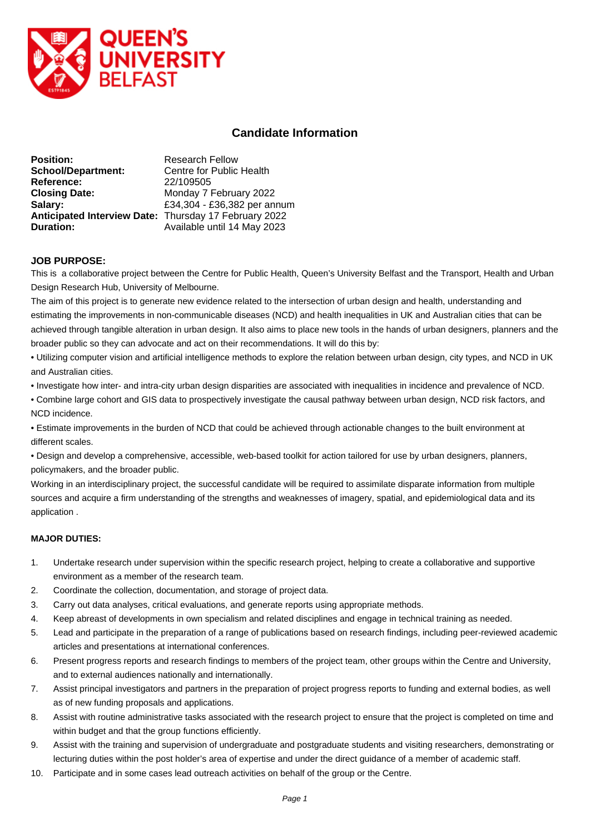

# **Candidate Information**

| <b>Position:</b>                                      | <b>Research Fellow</b>      |
|-------------------------------------------------------|-----------------------------|
| <b>School/Department:</b>                             | Centre for Public Health    |
| Reference:                                            | 22/109505                   |
| <b>Closing Date:</b>                                  | Monday 7 February 2022      |
| Salary:                                               | £34,304 - £36,382 per annum |
| Anticipated Interview Date: Thursday 17 February 2022 |                             |
| Duration:                                             | Available until 14 May 2023 |

# **JOB PURPOSE:**

This is a collaborative project between the Centre for Public Health, Queen's University Belfast and the Transport, Health and Urban Design Research Hub, University of Melbourne.

The aim of this project is to generate new evidence related to the intersection of urban design and health, understanding and estimating the improvements in non-communicable diseases (NCD) and health inequalities in UK and Australian cities that can be achieved through tangible alteration in urban design. It also aims to place new tools in the hands of urban designers, planners and the broader public so they can advocate and act on their recommendations. It will do this by:

• Utilizing computer vision and artificial intelligence methods to explore the relation between urban design, city types, and NCD in UK and Australian cities.

• Investigate how inter- and intra-city urban design disparities are associated with inequalities in incidence and prevalence of NCD.

• Combine large cohort and GIS data to prospectively investigate the causal pathway between urban design, NCD risk factors, and NCD incidence.

• Estimate improvements in the burden of NCD that could be achieved through actionable changes to the built environment at different scales.

• Design and develop a comprehensive, accessible, web-based toolkit for action tailored for use by urban designers, planners, policymakers, and the broader public.

Working in an interdisciplinary project, the successful candidate will be required to assimilate disparate information from multiple sources and acquire a firm understanding of the strengths and weaknesses of imagery, spatial, and epidemiological data and its application .

## **MAJOR DUTIES:**

- 1. Undertake research under supervision within the specific research project, helping to create a collaborative and supportive environment as a member of the research team.
- 2. Coordinate the collection, documentation, and storage of project data.
- 3. Carry out data analyses, critical evaluations, and generate reports using appropriate methods.
- 4. Keep abreast of developments in own specialism and related disciplines and engage in technical training as needed.
- 5. Lead and participate in the preparation of a range of publications based on research findings, including peer-reviewed academic articles and presentations at international conferences.
- 6. Present progress reports and research findings to members of the project team, other groups within the Centre and University, and to external audiences nationally and internationally.
- 7. Assist principal investigators and partners in the preparation of project progress reports to funding and external bodies, as well as of new funding proposals and applications.
- 8. Assist with routine administrative tasks associated with the research project to ensure that the project is completed on time and within budget and that the group functions efficiently.
- 9. Assist with the training and supervision of undergraduate and postgraduate students and visiting researchers, demonstrating or lecturing duties within the post holder's area of expertise and under the direct guidance of a member of academic staff.
- 10. Participate and in some cases lead outreach activities on behalf of the group or the Centre.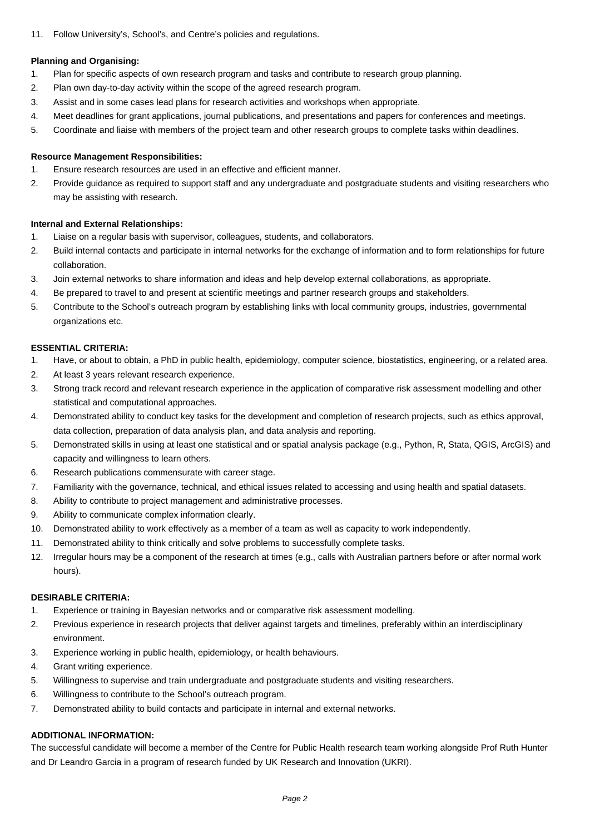11. Follow University's, School's, and Centre's policies and regulations.

## **Planning and Organising:**

- 1. Plan for specific aspects of own research program and tasks and contribute to research group planning.
- 2. Plan own day-to-day activity within the scope of the agreed research program.
- 3. Assist and in some cases lead plans for research activities and workshops when appropriate.
- 4. Meet deadlines for grant applications, journal publications, and presentations and papers for conferences and meetings.
- 5. Coordinate and liaise with members of the project team and other research groups to complete tasks within deadlines.

#### **Resource Management Responsibilities:**

- 1. Ensure research resources are used in an effective and efficient manner.
- 2. Provide guidance as required to support staff and any undergraduate and postgraduate students and visiting researchers who may be assisting with research.

#### **Internal and External Relationships:**

- 1. Liaise on a regular basis with supervisor, colleagues, students, and collaborators.
- 2. Build internal contacts and participate in internal networks for the exchange of information and to form relationships for future collaboration.
- 3. Join external networks to share information and ideas and help develop external collaborations, as appropriate.
- 4. Be prepared to travel to and present at scientific meetings and partner research groups and stakeholders.
- 5. Contribute to the School's outreach program by establishing links with local community groups, industries, governmental organizations etc.

#### **ESSENTIAL CRITERIA:**

- 1. Have, or about to obtain, a PhD in public health, epidemiology, computer science, biostatistics, engineering, or a related area.
- 2. At least 3 years relevant research experience.
- 3. Strong track record and relevant research experience in the application of comparative risk assessment modelling and other statistical and computational approaches.
- 4. Demonstrated ability to conduct key tasks for the development and completion of research projects, such as ethics approval, data collection, preparation of data analysis plan, and data analysis and reporting.
- 5. Demonstrated skills in using at least one statistical and or spatial analysis package (e.g., Python, R, Stata, QGIS, ArcGIS) and capacity and willingness to learn others.
- 6. Research publications commensurate with career stage.
- 7. Familiarity with the governance, technical, and ethical issues related to accessing and using health and spatial datasets.
- 8. Ability to contribute to project management and administrative processes.
- 9. Ability to communicate complex information clearly.
- 10. Demonstrated ability to work effectively as a member of a team as well as capacity to work independently.
- 11. Demonstrated ability to think critically and solve problems to successfully complete tasks.
- 12. Irregular hours may be a component of the research at times (e.g., calls with Australian partners before or after normal work hours).

## **DESIRABLE CRITERIA:**

- 1. Experience or training in Bayesian networks and or comparative risk assessment modelling.
- 2. Previous experience in research projects that deliver against targets and timelines, preferably within an interdisciplinary environment.
- 3. Experience working in public health, epidemiology, or health behaviours.
- 4. Grant writing experience.
- 5. Willingness to supervise and train undergraduate and postgraduate students and visiting researchers.
- 6. Willingness to contribute to the School's outreach program.
- 7. Demonstrated ability to build contacts and participate in internal and external networks.

# **ADDITIONAL INFORMATION:**

The successful candidate will become a member of the Centre for Public Health research team working alongside Prof Ruth Hunter and Dr Leandro Garcia in a program of research funded by UK Research and Innovation (UKRI).